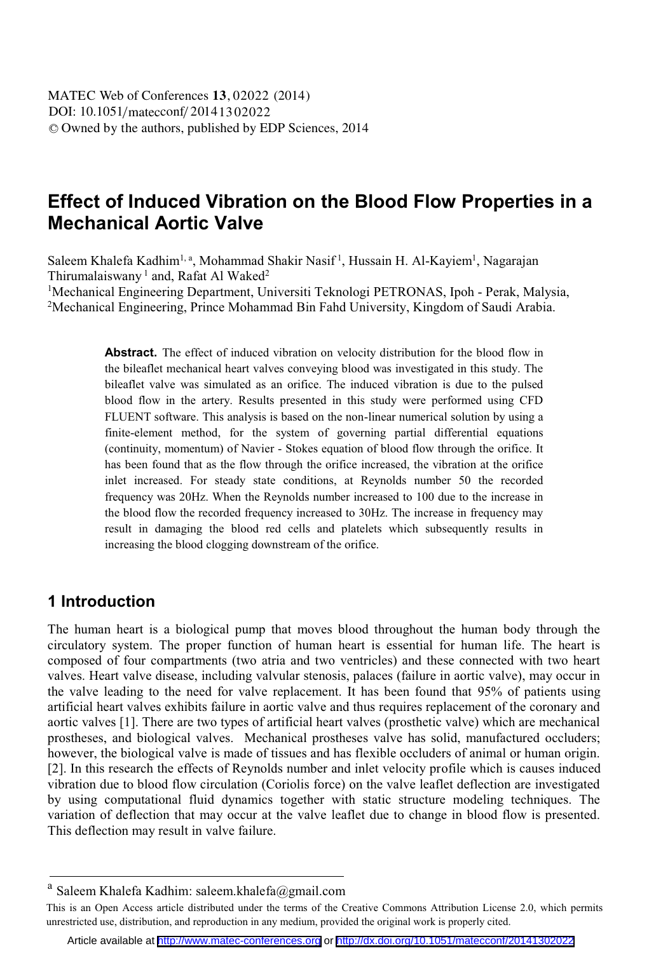# **Effect of Induced Vibration on the Blood Flow Properties in a Mechanical Aortic Valve**

Saleem Khalefa Kadhim<sup>1, a</sup>, Mohammad Shakir Nasif<sup>1</sup>, Hussain H. Al-Kayiem<sup>1</sup>, Nagarajan Thirumalaiswany<sup>1</sup> and, Rafat Al Waked<sup>2</sup>

<sup>1</sup>Mechanical Engineering Department, Universiti Teknologi PETRONAS, Ipoh - Perak, Malysia,<br><sup>2</sup>Mechanical Engineering, Prince Mohammad Bin Fahd University, Kingdom of Saudi Arahia <sup>2</sup>Mechanical Engineering, Prince Mohammad Bin Fahd University, Kingdom of Saudi Arabia.

> **Abstract.** The effect of induced vibration on velocity distribution for the blood flow in the bileaflet mechanical heart valves conveying blood was investigated in this study. The bileaflet valve was simulated as an orifice. The induced vibration is due to the pulsed blood flow in the artery. Results presented in this study were performed using CFD FLUENT software. This analysis is based on the non-linear numerical solution by using a finite-element method, for the system of governing partial differential equations (continuity, momentum) of Navier - Stokes equation of blood flow through the orifice. It has been found that as the flow through the orifice increased, the vibration at the orifice inlet increased. For steady state conditions, at Reynolds number 50 the recorded frequency was 20Hz. When the Reynolds number increased to 100 due to the increase in the blood flow the recorded frequency increased to 30Hz. The increase in frequency may result in damaging the blood red cells and platelets which subsequently results in increasing the blood clogging downstream of the orifice.

### **1 Introduction**

The human heart is a biological pump that moves blood throughout the human body through the circulatory system. The proper function of human heart is essential for human life. The heart is composed of four compartments (two atria and two ventricles) and these connected with two heart valves. Heart valve disease, including valvular stenosis, palaces (failure in aortic valve), may occur in the valve leading to the need for valve replacement. It has been found that 95% of patients using artificial heart valves exhibits failure in aortic valve and thus requires replacement of the coronary and aortic valves [1]. There are two types of artificial heart valves (prosthetic valve) which are mechanical prostheses, and biological valves. Mechanical prostheses valve has solid, manufactured occluders; however, the biological valve is made of tissues and has flexible occluders of animal or human origin. [2]. In this research the effects of Reynolds number and inlet velocity profile which is causes induced vibration due to blood flow circulation (Coriolis force) on the valve leaflet deflection are investigated by using computational fluid dynamics together with static structure modeling techniques. The variation of deflection that may occur at the valve leaflet due to change in blood flow is presented. This deflection may result in valve failure.

Saleem Khalefa Kadhim: saleem.khalefa@gmail.com

This is an Open Access article distributed under the terms of the Creative Commons Attribution License 2.0, which permits unrestricted use, distribution, and reproduction in any medium, provided the original work is properly cited.

Article available at <http://www.matec-conferences.org> or <http://dx.doi.org/10.1051/matecconf/20141302022>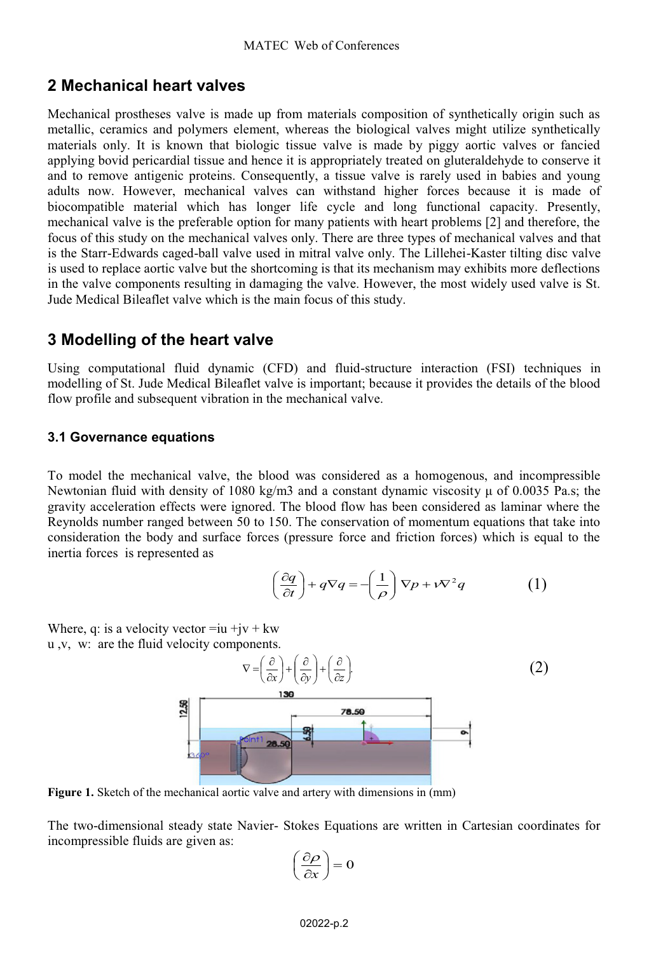### **2 Mechanical heart valves**

Mechanical prostheses valve is made up from materials composition of synthetically origin such as metallic, ceramics and polymers element, whereas the biological valves might utilize synthetically materials only. It is known that biologic tissue valve is made by piggy aortic valves or fancied applying bovid pericardial tissue and hence it is appropriately treated on gluteraldehyde to conserve it and to remove antigenic proteins. Consequently, a tissue valve is rarely used in babies and young adults now. However, mechanical valves can withstand higher forces because it is made of biocompatible material which has longer life cycle and long functional capacity. Presently, mechanical valve is the preferable option for many patients with heart problems [2] and therefore, the focus of this study on the mechanical valves only. There are three types of mechanical valves and that is the Starr-Edwards caged-ball valve used in mitral valve only. The Lillehei-Kaster tilting disc valve is used to replace aortic valve but the shortcoming is that its mechanism may exhibits more deflections in the valve components resulting in damaging the valve. However, the most widely used valve is St. Jude Medical Bileaflet valve which is the main focus of this study.

### **3 Modelling of the heart valve**

Using computational fluid dynamic (CFD) and fluid-structure interaction (FSI) techniques in modelling of St. Jude Medical Bileaflet valve is important; because it provides the details of the blood flow profile and subsequent vibration in the mechanical valve.

#### **3.1 Governance equations**

To model the mechanical valve, the blood was considered as a homogenous, and incompressible Newtonian fluid with density of 1080 kg/m3 and a constant dynamic viscosity  $\mu$  of 0.0035 Pa.s; the gravity acceleration effects were ignored. The blood flow has been considered as laminar where the Reynolds number ranged between 50 to 150. The conservation of momentum equations that take into consideration the body and surface forces (pressure force and friction forces) which is equal to the inertia forces is represented as

$$
\left(\frac{\partial q}{\partial t}\right) + q\nabla q = \left(\frac{1}{\rho}\right)\nabla p + \nu\nabla^2 q \tag{1}
$$

Where, q: is a velocity vector  $=i\mu + j\nu + k\nu$ u ,v, w: are the fluid velocity components.



**Figure 1.** Sketch of the mechanical aortic valve and artery with dimensions in (mm)

The two-dimensional steady state Navier- Stokes Equations are written in Cartesian coordinates for incompressible fluids are given as:

$$
\left(\frac{\partial \rho}{\partial x}\right) = 0
$$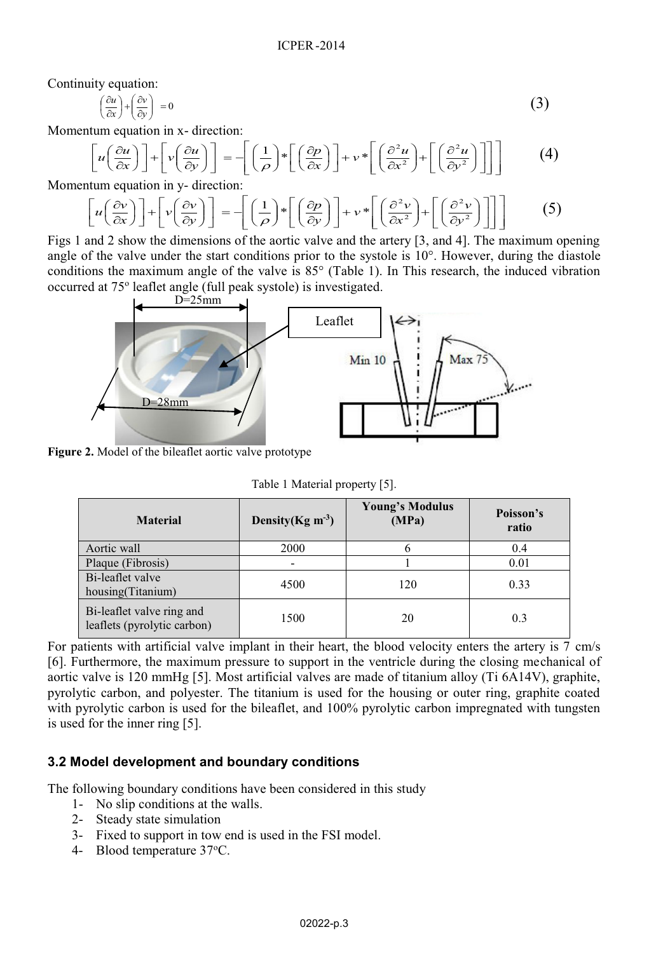Continuity equation:

$$
\left(\frac{\partial u}{\partial x}\right) + \left(\frac{\partial v}{\partial y}\right) = 0\tag{3}
$$

Momentum equation in x- direction:

$$
\left[u\left(\frac{\partial u}{\partial x}\right)\right] + \left[v\left(\frac{\partial u}{\partial y}\right)\right] = -\left[\left(\frac{1}{\rho}\right) * \left[\left(\frac{\partial p}{\partial x}\right)\right] + v * \left[\left(\frac{\partial^2 u}{\partial x^2}\right) + \left[\left(\frac{\partial^2 u}{\partial y^2}\right)\right]\right]\right] \tag{4}
$$

Momentum equation in y- direction:

$$
\left[u\left(\frac{\partial v}{\partial x}\right)\right] + \left[v\left(\frac{\partial v}{\partial y}\right)\right] = -\left[\left(\frac{1}{\rho}\right) * \left[\left(\frac{\partial p}{\partial y}\right)\right] + v * \left[\left(\frac{\partial^2 v}{\partial x^2}\right) + \left[\left(\frac{\partial^2 v}{\partial y^2}\right)\right]\right]\right] \tag{5}
$$

Figs 1 and 2 show the dimensions of the aortic valve and the artery [3, and 4]. The maximum opening angle of the valve under the start conditions prior to the systole is 10°. However, during the diastole conditions the maximum angle of the valve is 85° (Table 1). In This research, the induced vibration occurred at 75o leaflet angle (full peak systole) is investigated.



**Figure 2.** Model of the bileaflet aortic valve prototype

Table 1 Material property [5].

| <b>Material</b>                                          | Density $(Kg \, m^{-3})$ | <b>Young's Modulus</b><br>(MPa) | Poisson's<br>ratio |
|----------------------------------------------------------|--------------------------|---------------------------------|--------------------|
| Aortic wall                                              | 2000                     |                                 | 0.4                |
| Plaque (Fibrosis)                                        | $\overline{\phantom{0}}$ |                                 | 0.01               |
| Bi-leaflet valve<br>housing(Titanium)                    | 4500                     | 120                             | 0.33               |
| Bi-leaflet valve ring and<br>leaflets (pyrolytic carbon) | 1500                     | 20                              | 0.3                |

For patients with artificial valve implant in their heart, the blood velocity enters the artery is  $\frac{7}{1}$  cm/s [6]. Furthermore, the maximum pressure to support in the ventricle during the closing mechanical of aortic valve is 120 mmHg [5]. Most artificial valves are made of titanium alloy (Ti 6A14V), graphite, pyrolytic carbon, and polyester. The titanium is used for the housing or outer ring, graphite coated with pyrolytic carbon is used for the bileaflet, and 100% pyrolytic carbon impregnated with tungsten is used for the inner ring [5].

#### **3.2 Model development and boundary conditions**

The following boundary conditions have been considered in this study

- 1- No slip conditions at the walls.
- 2- Steady state simulation
- 3- Fixed to support in tow end is used in the FSI model.
- 4- Blood temperature 37°C.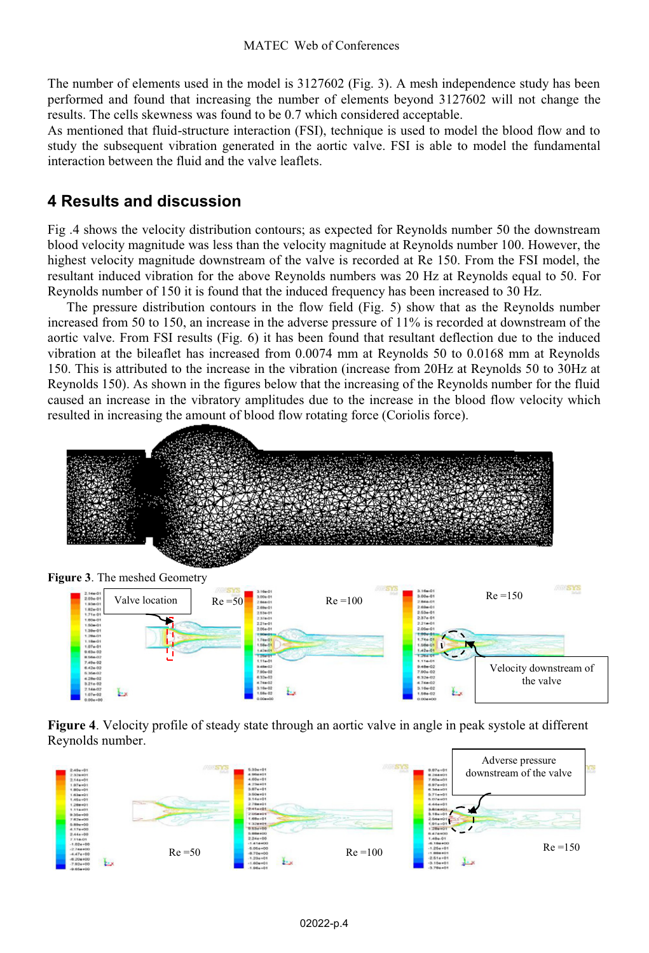The number of elements used in the model is 3127602 (Fig. 3). A mesh independence study has been performed and found that increasing the number of elements beyond 3127602 will not change the results. The cells skewness was found to be 0.7 which considered acceptable.

As mentioned that fluid-structure interaction (FSI), technique is used to model the blood flow and to study the subsequent vibration generated in the aortic valve. FSI is able to model the fundamental interaction between the fluid and the valve leaflets.

# **4 Results and discussion**

Fig .4 shows the velocity distribution contours; as expected for Reynolds number 50 the downstream blood velocity magnitude was less than the velocity magnitude at Reynolds number 100. However, the highest velocity magnitude downstream of the valve is recorded at Re 150. From the FSI model, the resultant induced vibration for the above Reynolds numbers was 20 Hz at Reynolds equal to 50. For Reynolds number of 150 it is found that the induced frequency has been increased to 30 Hz.

The pressure distribution contours in the flow field (Fig. 5) show that as the Reynolds number increased from 50 to 150, an increase in the adverse pressure of 11% is recorded at downstream of the aortic valve. From FSI results (Fig. 6) it has been found that resultant deflection due to the induced vibration at the bileaflet has increased from 0.0074 mm at Reynolds 50 to 0.0168 mm at Reynolds 150. This is attributed to the increase in the vibration (increase from 20Hz at Reynolds 50 to 30Hz at Reynolds 150). As shown in the figures below that the increasing of the Reynolds number for the fluid caused an increase in the vibratory amplitudes due to the increase in the blood flow velocity which resulted in increasing the amount of blood flow rotating force (Coriolis force).



**Figure 3**. The meshed Geometry



**Figure 4**. Velocity profile of steady state through an aortic valve in angle in peak systole at different Reynolds number.